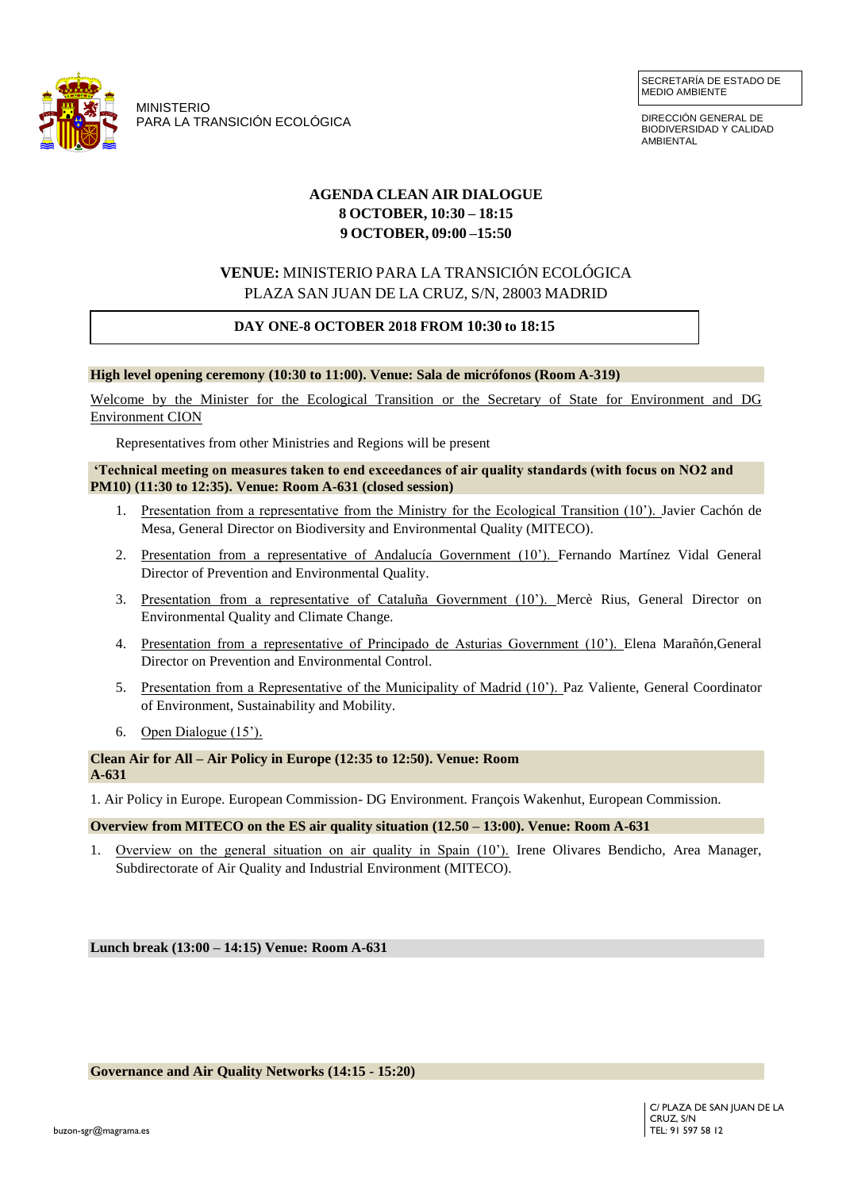

MINISTERIO PARA LA TRANSICIÓN ECOLÓGICA

DIRECCIÓN GENERAL DE BIODIVERSIDAD Y CALIDAD **AMBIENTAL** 

## **AGENDA CLEAN AIR DIALOGUE 8 OCTOBER, 10:30 – 18:15 9 OCTOBER, 09:00 –15:50**

# **VENUE:** MINISTERIO PARA LA TRANSICIÓN ECOLÓGICA PLAZA SAN JUAN DE LA CRUZ, S/N, 28003 MADRID

# **DAY ONE-8 OCTOBER 2018 FROM 10:30 to 18:15**

#### **High level opening ceremony (10:30 to 11:00). Venue: Sala de micrófonos (Room A-319)**

Welcome by the Minister for the Ecological Transition or the Secretary of State for Environment and DG Environment CION

Representatives from other Ministries and Regions will be present

#### **'Technical meeting on measures taken to end exceedances of air quality standards (with focus on NO2 and PM10) (11:30 to 12:35). Venue: Room A-631 (closed session)**

- 1. Presentation from a representative from the Ministry for the Ecological Transition (10'). Javier Cachón de Mesa, General Director on Biodiversity and Environmental Quality (MITECO).
- 2. Presentation from a representative of Andalucía Government (10'). Fernando Martínez Vidal General Director of Prevention and Environmental Quality.
- 3. Presentation from a representative of Cataluña Government (10'). Mercè Rius, General Director on Environmental Quality and Climate Change.
- 4. Presentation from a representative of Principado de Asturias Government (10'). Elena Marañón,General Director on Prevention and Environmental Control.
- 5. Presentation from a Representative of the Municipality of Madrid (10'). Paz Valiente, General Coordinator of Environment, Sustainability and Mobility.
- 6. Open Dialogue (15').

### **Clean Air for All – Air Policy in Europe (12:35 to 12:50). Venue: Room A-631**

1. Air Policy in Europe. European Commission- DG Environment. François Wakenhut, European Commission.

#### **Overview from MITECO on the ES air quality situation (12.50 – 13:00). Venue: Room A-631**

1. Overview on the general situation on air quality in Spain (10'). Irene Olivares Bendicho, Area Manager, Subdirectorate of Air Quality and Industrial Environment (MITECO).

**Lunch break (13:00 – 14:15) Venue: Room A-631**

**Governance and Air Quality Networks (14:15 - 15:20)**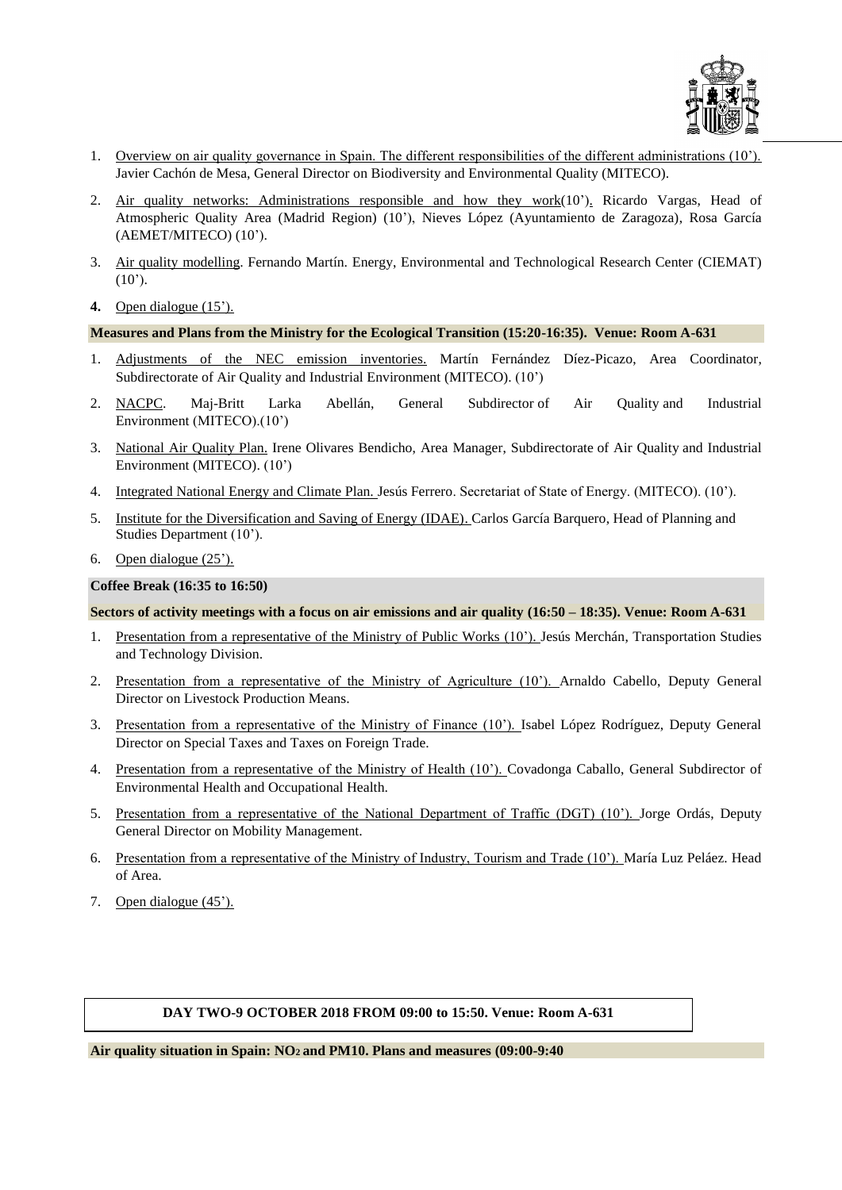

- 1. Overview on air quality governance in Spain. The different responsibilities of the different administrations (10'). Javier Cachón de Mesa, General Director on Biodiversity and Environmental Quality (MITECO).
- 2. Air quality networks: Administrations responsible and how they work(10'). Ricardo Vargas, Head of Atmospheric Quality Area (Madrid Region) (10'), Nieves López (Ayuntamiento de Zaragoza), Rosa García (AEMET/MITECO) (10').
- 3. Air quality modelling. Fernando Martín. Energy, Environmental and Technological Research Center (CIEMAT)  $(10^{\circ})$ .
- **4.** Open dialogue (15').

#### **Measures and Plans from the Ministry for the Ecological Transition (15:20-16:35). Venue: Room A-631**

- 1. Adjustments of the NEC emission inventories. Martín Fernández Díez-Picazo, Area Coordinator, Subdirectorate of Air Quality and Industrial Environment (MITECO). (10')
- 2. NACPC. Maj-Britt Larka Abellán, General Subdirector of Air Quality and Industrial Environment (MITECO).(10')
- 3. National Air Quality Plan. Irene Olivares Bendicho, Area Manager, Subdirectorate of Air Quality and Industrial Environment (MITECO). (10')
- 4. Integrated National Energy and Climate Plan. Jesús Ferrero. Secretariat of State of Energy. (MITECO). (10').
- 5. Institute for the Diversification and Saving of Energy (IDAE). Carlos García Barquero, Head of Planning and Studies Department (10').
- 6. Open dialogue (25').

### **Coffee Break (16:35 to 16:50)**

### **Sectors of activity meetings with a focus on air emissions and air quality (16:50 – 18:35). Venue: Room A-631**

- 1. Presentation from a representative of the Ministry of Public Works (10'). Jesús Merchán, Transportation Studies and Technology Division.
- 2. Presentation from a representative of the Ministry of Agriculture (10'). Arnaldo Cabello, Deputy General Director on Livestock Production Means.
- 3. Presentation from a representative of the Ministry of Finance (10'). Isabel López Rodríguez, Deputy General Director on Special Taxes and Taxes on Foreign Trade.
- 4. Presentation from a representative of the Ministry of Health (10'). Covadonga Caballo, General Subdirector of Environmental Health and Occupational Health.
- 5. Presentation from a representative of the National Department of Traffic (DGT) (10'). Jorge Ordás, Deputy General Director on Mobility Management.
- 6. Presentation from a representative of the Ministry of Industry, Tourism and Trade (10'). María Luz Peláez. Head of Area.
- 7. Open dialogue (45').

### **DAY TWO-9 OCTOBER 2018 FROM 09:00 to 15:50. Venue: Room A-631**

**Air quality situation in Spain: NO<sup>2</sup> and PM10. Plans and measures (09:00-9:40**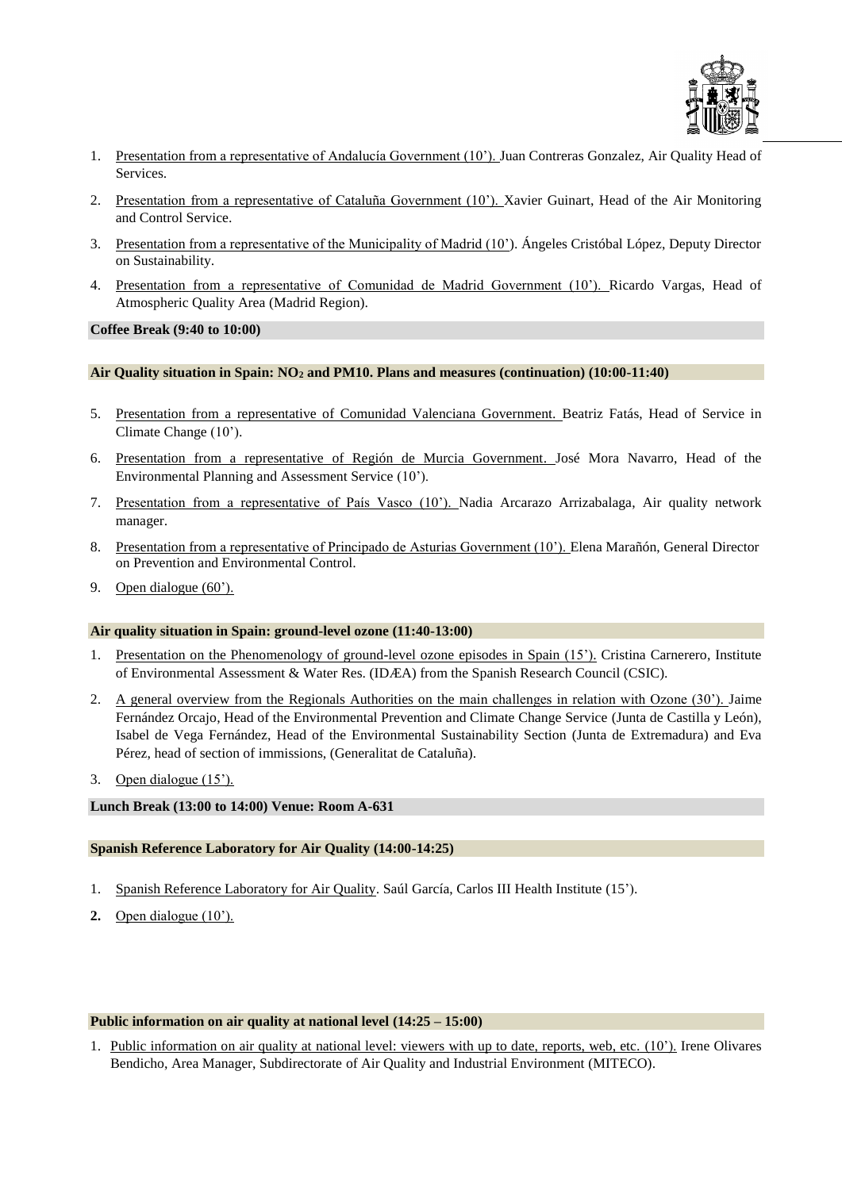

- 1. Presentation from a representative of Andalucía Government (10'). Juan Contreras Gonzalez, Air Quality Head of Services.
- 2. Presentation from a representative of Cataluña Government (10'). Xavier Guinart, Head of the Air Monitoring and Control Service.
- 3. Presentation from a representative of the Municipality of Madrid (10'). Ángeles Cristóbal López, Deputy Director on Sustainability.
- 4. Presentation from a representative of Comunidad de Madrid Government (10'). Ricardo Vargas, Head of Atmospheric Quality Area (Madrid Region).

#### **Coffee Break (9:40 to 10:00)**

### **Air Quality situation in Spain: NO<sup>2</sup> and PM10. Plans and measures (continuation) (10:00-11:40)**

- 5. Presentation from a representative of Comunidad Valenciana Government. Beatriz Fatás, Head of Service in Climate Change (10').
- 6. Presentation from a representative of Región de Murcia Government. José Mora Navarro, Head of the Environmental Planning and Assessment Service (10').
- 7. Presentation from a representative of País Vasco (10'). Nadia Arcarazo Arrizabalaga, Air quality network manager.
- 8. Presentation from a representative of Principado de Asturias Government (10<sup>'</sup>). Elena Marañón, General Director on Prevention and Environmental Control.
- 9. Open dialogue (60').

#### **Air quality situation in Spain: ground-level ozone (11:40-13:00)**

- 1. Presentation on the Phenomenology of ground-level ozone episodes in Spain (15'). Cristina Carnerero, Institute of Environmental Assessment & Water Res. (IDÆA) from the Spanish Research Council (CSIC).
- 2. A general overview from the Regionals Authorities on the main challenges in relation with Ozone (30'). Jaime Fernández Orcajo, Head of the Environmental Prevention and Climate Change Service (Junta de Castilla y León), Isabel de Vega Fernández, Head of the Environmental Sustainability Section (Junta de Extremadura) and Eva Pérez, head of section of immissions, (Generalitat de Cataluña).
- 3. Open dialogue (15').

### **Lunch Break (13:00 to 14:00) Venue: Room A-631**

### **Spanish Reference Laboratory for Air Quality (14:00-14:25)**

- 1. Spanish Reference Laboratory for Air Quality. Saúl García, Carlos III Health Institute (15').
- **2.** Open dialogue (10').

#### **Public information on air quality at national level (14:25 – 15:00)**

1. Public information on air quality at national level: viewers with up to date, reports, web, etc. (10'). Irene Olivares Bendicho, Area Manager, Subdirectorate of Air Quality and Industrial Environment (MITECO).